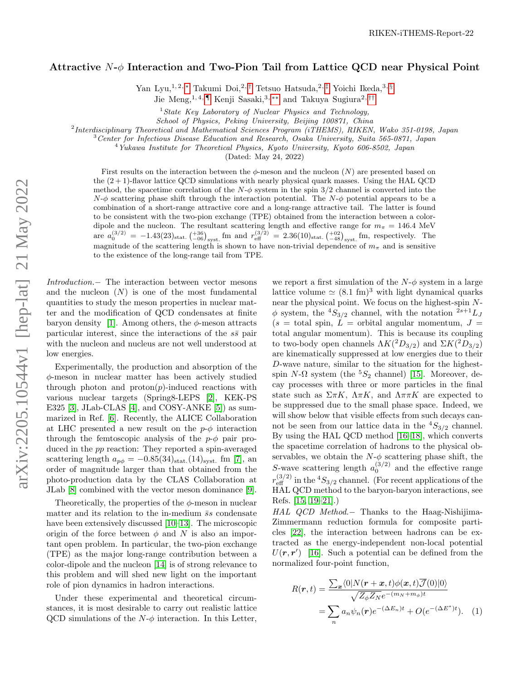## Attractive  $N-\phi$  Interaction and Two-Pion Tail from Lattice QCD near Physical Point

Yan Lyu, 1, 2, \* Takumi Doi, 2, [†](#page-4-1) Tetsuo Hatsuda, 2, [‡](#page-4-2) Yoichi Ikeda, 3, [§](#page-4-3)

Jie Meng,1, 4, [¶](#page-4-4) Kenji Sasaki,3, [∗∗](#page-4-5) and Takuya Sugiura2, [††](#page-4-6)

 $1$  State Key Laboratory of Nuclear Physics and Technology,

School of Physics, Peking University, Beijing 100871, China

<sup>2</sup>Interdisciplinary Theoretical and Mathematical Sciences Program (iTHEMS), RIKEN, Wako 351-0198, Japan

<sup>3</sup>Center for Infectious Disease Education and Research, Osaka University, Suita 565-0871, Japan

 $4$ Yukawa Institute for Theoretical Physics, Kyoto University, Kyoto 606-8502, Japan

(Dated: May 24, 2022)

First results on the interaction between the  $\phi$ -meson and the nucleon  $(N)$  are presented based on the  $(2+1)$ -flavor lattice QCD simulations with nearly physical quark masses. Using the HAL QCD method, the spacetime correlation of the  $N-\phi$  system in the spin 3/2 channel is converted into the  $N-\phi$  scattering phase shift through the interaction potential. The  $N-\phi$  potential appears to be a combination of a short-range attractive core and a long-range attractive tail. The latter is found to be consistent with the two-pion exchange (TPE) obtained from the interaction between a colordipole and the nucleon. The resultant scattering length and effective range for  $m_{\pi} = 146.4 \text{ MeV}$ are  $a_0^{(3/2)} = -1.43(23)_{\text{stat.}} \left( \frac{+36}{-06} \right)_{\text{syst.}}$  fm and  $r_{\text{eff}}^{(3/2)} = 2.36(10)_{\text{stat.}} \left( \frac{+02}{-48} \right)_{\text{syst.}}$  fm, respectively. The magnitude of the scattering length is shown to have non-trivial dependence of  $m<sub>\pi</sub>$  and is sensitive to the existence of the long-range tail from TPE.

Introduction.− The interaction between vector mesons and the nucleon  $(N)$  is one of the most fundamental quantities to study the meson properties in nuclear matter and the modification of QCD condensates at finite baryon density [\[1\]](#page-4-7). Among others, the  $\phi$ -meson attracts particular interest, since the interactions of the  $s\bar{s}$  pair with the nucleon and nucleus are not well understood at low energies.

Experimentally, the production and absorption of the  $\phi$ -meson in nuclear matter has been actively studied through photon and  $proton(p)$ -induced reactions with various nuclear targets (Spring8-LEPS [\[2\]](#page-4-8), KEK-PS E325 [\[3\]](#page-4-9), JLab-CLAS [\[4\]](#page-4-10), and COSY-ANKE [\[5\]](#page-4-11)) as summarized in Ref. [\[6\]](#page-4-12). Recently, the ALICE Collaboration at LHC presented a new result on the  $p-\phi$  interaction through the femtoscopic analysis of the  $p-\phi$  pair produced in the pp reaction: They reported a spin-averaged scattering length  $a_{n\phi} = -0.85(34)_{\text{stat.}}(14)_{\text{syst.}}$  fm [\[7\]](#page-4-13), an order of magnitude larger than that obtained from the photo-production data by the CLAS Collaboration at JLab [\[8\]](#page-4-14) combined with the vector meson dominance [\[9\]](#page-4-15).

Theoretically, the properties of the  $\phi$ -meson in nuclear matter and its relation to the in-medium  $\bar{s}s$  condensate have been extensively discussed [\[10](#page-4-16)[–13\]](#page-4-17). The microscopic origin of the force between  $\phi$  and N is also an important open problem. In particular, the two-pion exchange (TPE) as the major long-range contribution between a color-dipole and the nucleon [\[14\]](#page-4-18) is of strong relevance to this problem and will shed new light on the important role of pion dynamics in hadron interactions.

Under these experimental and theoretical circumstances, it is most desirable to carry out realistic lattice QCD simulations of the  $N-\phi$  interaction. In this Letter,

we report a first simulation of the  $N-\phi$  system in a large lattice volume  $\simeq (8.1 \text{ fm})^3$  with light dynamical quarks near the physical point. We focus on the highest-spin N- $\phi$  system, the <sup>4</sup>S<sub>3/2</sub> channel, with the notation <sup>2s+1</sup>L<sub>J</sub>  $(s =$  total spin,  $\dot{L} =$  orbital angular momentum,  $J =$ total angular momentum). This is because its coupling to two-body open channels  $\Lambda K(^2D_{3/2})$  and  $\Sigma K(^2D_{3/2})$ are kinematically suppressed at low energies due to their D-wave nature, similar to the situation for the highestspin  $N-\Omega$  system (the <sup>5</sup> $S_2$  channel) [\[15\]](#page-5-0). Moreover, decay processes with three or more particles in the final state such as  $\Sigma \pi K$ ,  $\Lambda \pi K$ , and  $\Lambda \pi \pi K$  are expected to be suppressed due to the small phase space. Indeed, we will show below that visible effects from such decays cannot be seen from our lattice data in the  ${}^4S_{3/2}$  channel. By using the HAL QCD method [\[16](#page-5-1)[–18\]](#page-5-2), which converts the spacetime correlation of hadrons to the physical observables, we obtain the  $N-\phi$  scattering phase shift, the S-wave scattering length  $a_0^{(3/2)}$  and the effective range  $r_{\text{eff}}^{(3/2)}$  in the  $^4S_{3/2}$  channel. (For recent applications of the HAL QCD method to the baryon-baryon interactions, see Refs. [\[15,](#page-5-0) [19–](#page-5-3)[21\]](#page-5-4).)

HAL QCD Method.− Thanks to the Haag-Nishijima-Zimmermann reduction formula for composite particles [\[22\]](#page-5-5), the interaction between hadrons can be extracted as the energy-independent non-local potential  $U(\mathbf{r}, \mathbf{r}')$  [\[16\]](#page-5-1). Such a potential can be defined from the normalized four-point function,

$$
R(\mathbf{r},t) = \frac{\sum_{\mathbf{x}} \langle 0|N(\mathbf{r}+\mathbf{x},t)\phi(\mathbf{x},t)\overline{\mathcal{J}}(0)|0\rangle}{\sqrt{Z_{\phi}Z_{N}}e^{-(m_{N}+m_{\phi})t}}
$$

$$
= \sum_{n} a_{n} \psi_{n}(\mathbf{r})e^{-(\Delta E_{n})t} + O(e^{-(\Delta E^{*})t}). \quad (1)
$$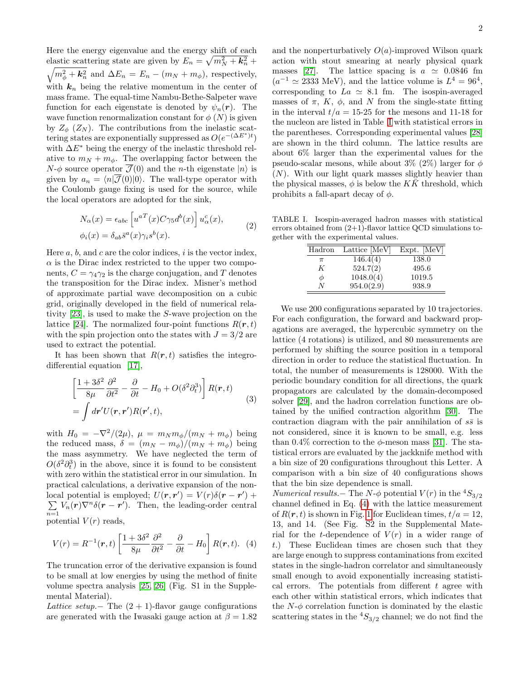Here the energy eigenvalue and the energy shift of each elastic scattering state are given by  $E_n = \sqrt{m_N^2 + k_n^2} +$ <br> $\sqrt{m_Z^2 + k^2}$  and  $\Delta E_n = E_n - (m_N + m_A)$  respectively  $m_{\phi}^2 + \mathbf{k}_n^2$  and  $\Delta E_n = E_n - (m_N + m_{\phi})$ , respectively, with  $k_n$  being the relative momentum in the center of mass frame. The equal-time Nambu-Bethe-Salpeter wave function for each eigenstate is denoted by  $\psi_n(\mathbf{r})$ . The wave function renormalization constant for  $\phi(N)$  is given by  $Z_{\phi}$  ( $Z_N$ ). The contributions from the inelastic scattering states are exponentially suppressed as  $O(e^{-(\Delta E^*)t})$ with  $\Delta E^*$  being the energy of the inelastic threshold relative to  $m_N + m_\phi$ . The overlapping factor between the  $N-\phi$  source operator  $\overline{\mathcal{J}}(0)$  and the *n*-th eigenstate  $|n\rangle$  is given by  $a_n = \langle n | \overline{\mathcal{J}}(0) | 0 \rangle$ . The wall-type operator with the Coulomb gauge fixing is used for the source, while the local operators are adopted for the sink,

$$
N_{\alpha}(x) = \epsilon_{abc} \left[ u^{aT}(x) C \gamma_5 d^b(x) \right] u_{\alpha}^c(x),
$$
  

$$
\phi_i(x) = \delta_{ab} \bar{s}^a(x) \gamma_i s^b(x).
$$
 (2)

Here  $a, b$ , and  $c$  are the color indices,  $i$  is the vector index,  $\alpha$  is the Dirac index restricted to the upper two components,  $C = \gamma_4 \gamma_2$  is the charge conjugation, and T denotes the transposition for the Dirac index. Misner's method of approximate partial wave decomposition on a cubic grid, originally developed in the field of numerical relativity [\[23\]](#page-5-6), is used to make the S-wave projection on the lattice [\[24\]](#page-5-7). The normalized four-point functions  $R(\mathbf{r}, t)$ with the spin projection onto the states with  $J = 3/2$  are used to extract the potential.

It has been shown that  $R(r, t)$  satisfies the integrodifferential equation [\[17\]](#page-5-8),

$$
\left[\frac{1+3\delta^2}{8\mu}\frac{\partial^2}{\partial t^2} - \frac{\partial}{\partial t} - H_0 + O(\delta^2 \partial_t^3)\right] R(\mathbf{r}, t)
$$
  
= 
$$
\int d\mathbf{r}' U(\mathbf{r}, \mathbf{r}') R(\mathbf{r}', t),
$$
 (3)

with  $H_0 = -\nabla^2/(2\mu)$ ,  $\mu = m_N m_\phi/(m_N + m_\phi)$  being the reduced mass,  $\delta = (m_N - m_\phi)/(m_N + m_\phi)$  being the mass asymmetry. We have neglected the term of  $O(\delta^2 \partial_t^3)$  in the above, since it is found to be consistent with zero within the statistical error in our simulation. In practical calculations, a derivative expansion of the nonlocal potential is employed;  $U(\mathbf{r}, \mathbf{r}') = V(r)\delta(\mathbf{r} - \mathbf{r}') +$  $\sum V_n(r)\nabla^n\delta(r - r')$ . Then, the leading-order central  $n=1$ potential  $V(r)$  reads,

<span id="page-1-1"></span>
$$
V(r) = R^{-1}(\mathbf{r}, t) \left[ \frac{1 + 3\delta^2}{8\mu} \frac{\partial^2}{\partial t^2} - \frac{\partial}{\partial t} - H_0 \right] R(\mathbf{r}, t). \tag{4}
$$

The truncation error of the derivative expansion is found to be small at low energies by using the method of finite volume spectra analysis [\[25,](#page-5-9) [26\]](#page-5-10) (Fig. S1 in the Supplemental Material).

Lattice setup. – The  $(2 + 1)$ -flavor gauge configurations are generated with the Iwasaki gauge action at  $\beta = 1.82$  and the nonperturbatively  $O(a)$ -improved Wilson quark action with stout smearing at nearly physical quark masses [\[27\]](#page-5-11). The lattice spacing is  $a \approx 0.0846$  fm  $(a^{-1} \approx 2333 \text{ MeV})$ , and the lattice volume is  $L^4 = 96^4$ , corresponding to  $La \approx 8.1$  fm. The isospin-averaged masses of  $\pi$ , K,  $\phi$ , and N from the single-state fitting in the interval  $t/a = 15{\text -}25$  for the mesons and 11-18 for the nucleon are listed in Table [I](#page-1-0) with statistical errors in the parentheses. Corresponding experimental values [\[28\]](#page-5-12) are shown in the third column. The lattice results are about 6% larger than the experimental values for the pseudo-scalar mesons, while about 3% (2%) larger for  $\phi$  $(N)$ . With our light quark masses slightly heavier than the physical masses,  $\phi$  is below the  $K\bar{K}$  threshold, which prohibits a fall-apart decay of  $\phi$ .

TABLE I. Isospin-averaged hadron masses with statistical errors obtained from  $(2+1)$ -flavor lattice QCD simulations together with the experimental values.

<span id="page-1-0"></span>

| Hadron | Lattice [MeV] | $Expt.$ [MeV] |
|--------|---------------|---------------|
| $\pi$  | 146.4(4)      | 138.0         |
| K      | 524.7(2)      | 495.6         |
| Φ      | 1048.0(4)     | 1019.5        |
| N      | 954.0(2.9)    | 938.9         |

We use 200 configurations separated by 10 trajectories. For each configuration, the forward and backward propagations are averaged, the hypercubic symmetry on the lattice (4 rotations) is utilized, and 80 measurements are performed by shifting the source position in a temporal direction in order to reduce the statistical fluctuation. In total, the number of measurements is 128000. With the periodic boundary condition for all directions, the quark propagators are calculated by the domain-decomposed solver [\[29\]](#page-5-13), and the hadron correlation functions are obtained by the unified contraction algorithm [\[30\]](#page-5-14). The contraction diagram with the pair annihilation of  $s\bar{s}$  is not considered, since it is known to be small, e.g. less than 0.4% correction to the  $\phi$ -meson mass [\[31\]](#page-5-15). The statistical errors are evaluated by the jackknife method with a bin size of 20 configurations throughout this Letter. A comparison with a bin size of 40 configurations shows that the bin size dependence is small.

*Numerical results.*− The N- $\phi$  potential  $V(r)$  in the <sup>4</sup>S<sub>3/2</sub> channel defined in Eq. [\(4\)](#page-1-1) with the lattice measurement of  $R(r, t)$  is shown in Fig. [1](#page-2-0) for Euclidean times,  $t/a = 12$ , 13, and 14. (See Fig. S2 in the Supplemental Material for the t-dependence of  $V(r)$  in a wider range of t.) These Euclidean times are chosen such that they are large enough to suppress contaminations from excited states in the single-hadron correlator and simultaneously small enough to avoid exponentially increasing statistical errors. The potentials from different  $t$  agree with each other within statistical errors, which indicates that the  $N-\phi$  correlation function is dominated by the elastic scattering states in the  ${}^4S_{3/2}$  channel; we do not find the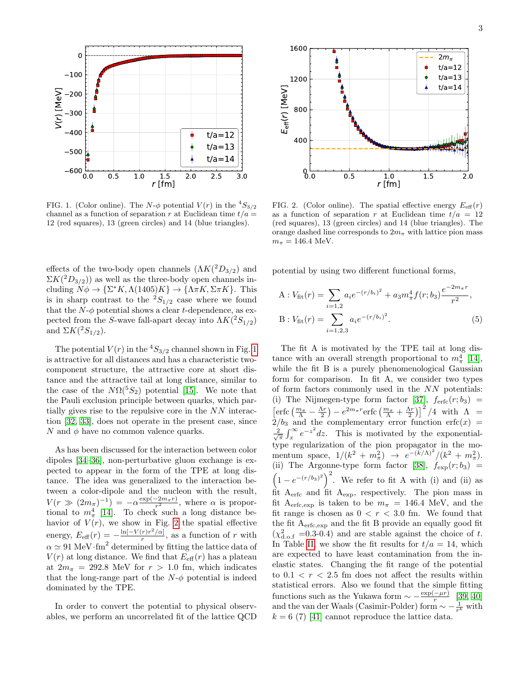

<span id="page-2-0"></span>FIG. 1. (Color online). The N- $\phi$  potential  $V(r)$  in the  ${}^4S_{3/2}$ channel as a function of separation r at Euclidean time  $t/a =$ 12 (red squares), 13 (green circles) and 14 (blue triangles).

effects of the two-body open channels  $(\Lambda K(^2D_{3/2})$  and  $\Sigma K({}^2D_{3/2})$  as well as the three-body open channels including  $N\phi \to \{\Sigma^* K, \Lambda(1405)K\} \to \{\Lambda \pi K, \Sigma \pi K\}$ . This is in sharp contrast to the  ${}^{2}S_{1/2}$  case where we found that the  $N-\phi$  potential shows a clear t-dependence, as expected from the S-wave fall-apart decay into  $\Lambda K(^2S_{1/2})$ and  $\Sigma K(^2S_{1/2})$ .

The potential  $V(r)$  in the  ${}^4S_{3/2}$  channel shown in Fig. [1](#page-2-0) is attractive for all distances and has a characteristic twocomponent structure, the attractive core at short distance and the attractive tail at long distance, similar to the case of the  $N\Omega({}^5S_2)$  potential [\[15\]](#page-5-0). We note that the Pauli exclusion principle between quarks, which partially gives rise to the repulsive core in the NN interaction [\[32,](#page-5-16) [33\]](#page-5-17), does not operate in the present case, since N and  $\phi$  have no common valence quarks.

As has been discussed for the interaction between color dipoles [\[34](#page-5-18)[–36\]](#page-5-19), non-perturbative gluon exchange is expected to appear in the form of the TPE at long distance. The idea was generalized to the interaction between a color-dipole and the nucleon with the result,  $V(r \gg (2m_{\pi})^{-1}) = -\alpha \frac{\exp(-2m_{\pi}r)}{r^2}$ , where  $\alpha$  is proportional to  $m_{\pi}^4$  [\[14\]](#page-4-18). To check such a long distance behavior of  $V(r)$ , we show in Fig. [2](#page-2-1) the spatial effective energy,  $E_{\text{eff}}(r) = -\frac{\ln[-V(r)r^2/\alpha]}{r}$  $\frac{(r)r}{r}$  / $\alpha$ , as a function of r with  $\alpha \simeq 91 \text{ MeV} \cdot \text{fm}^2$  determined by fitting the lattice data of  $V(r)$  at long distance. We find that  $E_{\text{eff}}(r)$  has a plateau at  $2m_{\pi}$  = 292.8 MeV for  $r > 1.0$  fm, which indicates that the long-range part of the  $N-\phi$  potential is indeed dominated by the TPE.

In order to convert the potential to physical observ-



<span id="page-2-1"></span>FIG. 2. (Color online). The spatial effective energy  $E_{\text{eff}}(r)$ as a function of separation r at Euclidean time  $t/a = 12$ (red squares), 13 (green circles) and 14 (blue triangles). The orange dashed line corresponds to  $2m_{\pi}$  with lattice pion mass  $m_{\pi} = 146.4 \text{ MeV}.$ 

potential by using two different functional forms,

<span id="page-2-2"></span>A: 
$$
V_{\text{fit}}(r) = \sum_{i=1,2} a_i e^{-(r/b_i)^2} + a_3 m_{\pi}^4 f(r; b_3) \frac{e^{-2m_{\pi}r}}{r^2}
$$
,  
B:  $V_{\text{fit}}(r) = \sum_{i=1,2,3} a_i e^{-(r/b_i)^2}$ . (5)

0.0 0.5 1.0  $\frac{15}{\epsilon_1^2}$  2.0 2.5 3.0 0.0 0.5  $\frac{10}{\epsilon_1^2}$ <br>
EIG. 1. Color collision control at the lattice Color and V (1) in the lattice Color and in the lattice control at the lattice Color Color and interest in th The fit A is motivated by the TPE tail at long distance with an overall strength proportional to  $m_{\pi}^4$  [\[14\]](#page-4-18), while the fit B is a purely phenomenological Gaussian form for comparison. In fit A, we consider two types of form factors commonly used in the NN potentials: (i) The Nijmegen-type form factor [\[37\]](#page-5-20),  $f_{\text{erfc}}(r; b_3)$  =  $\left[\text{erfc}\left(\frac{m_{\pi}}{\Lambda}-\frac{\Lambda r}{2}\right)-e^{2m_{\pi}r}\text{erfc}\left(\frac{m_{\pi}}{\Lambda}+\frac{\Lambda r}{2}\right)\right]^2/4$  with  $\Lambda$  $2/b_3$  and the complementary error function erfc $(x)$  =  $\frac{2}{\sqrt{\pi}} \int_x^{\infty} e^{-z^2} dz$ . This is motivated by the exponentialtype regularization of the pion propagator in the momentum space,  $1/(k^2 + m_{\pi}^2) \rightarrow e^{-(k/\Lambda)^2}/(k^2 + m_{\pi}^2)$ . mentum space,  $1/(k + m_{\pi}) \rightarrow e^{k/(k + m_{\pi})}$ .<br>(ii) The Argonne-type form factor [\[38\]](#page-5-21),  $f_{\exp}(r; b_3)$  $(1-e^{-(r/b_3)^2})^2$ . We refer to fit A with (i) and (ii) as fit Aerfc and fit Aexp, respectively. The pion mass in fit A<sub>erfc,exp</sub> is taken to be  $m_\pi = 146.4$  MeV, and the fit range is chosen as  $0 < r < 3.0$  fm. We found that the fit Aerfc,exp and the fit B provide an equally good fit  $(\chi^2_{\rm d.o.f} = 0.3{\text -}0.4)$  and are stable against the choice of t. In Table [II,](#page-3-0) we show the fit results for  $t/a = 14$ , which are expected to have least contamination from the inelastic states. Changing the fit range of the potential to  $0.1 < r < 2.5$  fm does not affect the results within statistical errors. Also we found that the simple fitting functions such as the Yukawa form  $\sim -\frac{\exp(-\mu r)}{r}$  $\frac{-\mu r}{r}$  [\[39,](#page-5-22) [40\]](#page-5-23) and the van der Waals (Casimir-Polder) form  $\sim -\frac{1}{r^k}$  with  $k = 6$  (7) [\[41\]](#page-5-24) cannot reproduce the lattice data.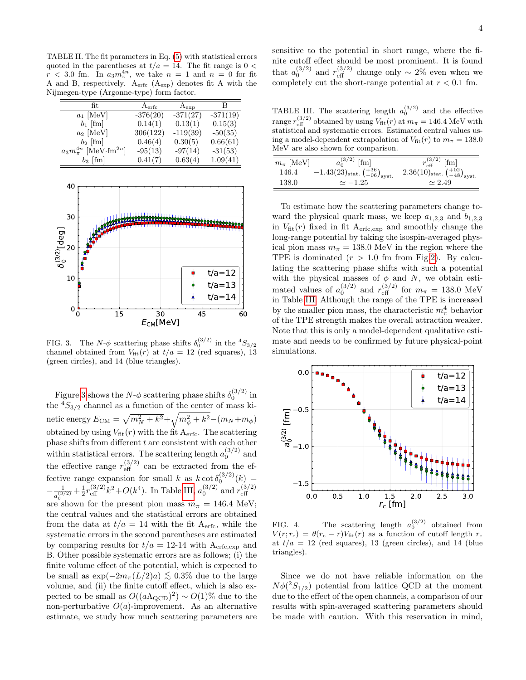<span id="page-3-0"></span>TABLE II. The fit parameters in Eq. [\(5\)](#page-2-2) with statistical errors quoted in the parentheses at  $t/a = 14$ . The fit range is  $0 <$  $r < 3.0$  fm. In  $a_3 m_\pi^{4n}$ , we take  $n = 1$  and  $n = 0$  for fit A and B, respectively. Aerfc (Aexp) denotes fit A with the Nijmegen-type (Argonne-type) form factor.

| fit.                                    | A <sub>erfc</sub> | $A_{exp}$  | B          |
|-----------------------------------------|-------------------|------------|------------|
| $a_1$ [MeV]                             | $-376(20)$        | $-371(27)$ | $-371(19)$ |
| $b_1$ [fm]                              | 0.14(1)           | 0.13(1)    | 0.15(3)    |
| $a_2$ [MeV]                             | 306(122)          | $-119(39)$ | $-50(35)$  |
| $b_2$ [fm]                              | 0.46(4)           | 0.30(5)    | 0.66(61)   |
| $a_3m_\pi^{4n}$ [MeV·fm <sup>2n</sup> ] | $-95(13)$         | $-97(14)$  | $-31(53)$  |
| $b_3$ [fm]                              | 0.41(7)           | 0.63(4)    | 1.09(41)   |



<span id="page-3-1"></span>FIG. 3. The  $N-\phi$  scattering phase shifts  $\delta_0^{(3/2)}$  in the  ${}^4S_{3/2}$ channel obtained from  $V_{\text{fit}}(r)$  at  $t/a = 12$  (red squares), 13 (green circles), and 14 (blue triangles).

Figure [3](#page-3-1) shows the  $N-\phi$  scattering phase shifts  $\delta_0^{(3/2)}$  in the  ${}^4S_{3/2}$  channel as a function of the center of mass kinetic energy  $E_{\text{CM}} = \sqrt{m_N^2 + k^2} + \sqrt{m_\phi^2 + k^2} - (m_N + m_\phi)$ obtained by using  $V_{\text{fit}}(r)$  with the fit  $A_{\text{erfc}}$ . The scattering phase shifts from different  $t$  are consistent with each other within statistical errors. The scattering length  $a_0^{(3/2)}$  and the effective range  $r_{\text{eff}}^{(3/2)}$  can be extracted from the effective range expansion for small k as  $k \cot \delta_0^{(3/2)}(k) =$  $-\frac{1}{3}$  $\frac{1}{a_0^{(3/2)}} + \frac{1}{2} r_{\text{eff}}^{(3/2)} k^2 + O(k^4)$ . In Table [III,](#page-3-2)  $a_0^{(3/2)}$  and  $r_{\text{eff}}^{(3/2)}$ eff are shown for the present pion mass  $m_{\pi} = 146.4$  MeV; the central values and the statistical errors are obtained from the data at  $t/a = 14$  with the fit A<sub>erfc</sub>, while the systematic errors in the second parentheses are estimated by comparing results for  $t/a = 12{\text -}14$  with  $A_{\text{erfc,exp}}$  and B. Other possible systematic errors are as follows; (i) the finite volume effect of the potential, which is expected to be small as  $\exp(-2m_\pi(L/2)a) \lesssim 0.3\%$  due to the large volume, and (ii) the finite cutoff effect, which is also expected to be small as  $O((a\Lambda_{\rm QCD})^2) \sim O(1)\%$  due to the non-perturbative  $O(a)$ -improvement. As an alternative estimate, we study how much scattering parameters are

sensitive to the potential in short range, where the finite cutoff effect should be most prominent. It is found that  $a_0^{(3/2)}$  and  $r_{\text{eff}}^{(3/2)}$  change only ~ 2% even when we completely cut the short-range potential at  $r < 0.1$  fm.

<span id="page-3-2"></span>TABLE III. The scattering length  $a_0^{(3/2)}$  and the effective range  $r_{\text{eff}}^{(3/2)}$  obtained by using  $V_{\text{fit}}(r)$  at  $m_{\pi} = 146.4 \text{ MeV}$  with statistical and systematic errors. Estimated central values using a model-dependent extrapolation of  $V_{\text{fit}}(r)$  to  $m_{\pi} = 138.0$ MeV are also shown for comparison.

| $m_{\pi}$ [MeV] | (3/2)<br>[fm]<br>$a_{\alpha}$                                                         | $r_{\text{eff}}^{(3/2)}$<br>[fm]                      |
|-----------------|---------------------------------------------------------------------------------------|-------------------------------------------------------|
| 146.4           | $\left. -1.43(23)_{\text{stat.}} \left( +36 \atop -06 \right)_{\text{syst.}} \right.$ | $2.36(10)_{\rm stat.}$ $\binom{+02}{-48}_{\rm syst.}$ |
| 138.0           | $\simeq -1.25$                                                                        | $\simeq 2.49$                                         |

To estimate how the scattering parameters change toward the physical quark mass, we keep  $a_{1,2,3}$  and  $b_{1,2,3}$ in  $V_{\text{fit}}(r)$  fixed in fit  $A_{\text{erfc,exp}}$  and smoothly change the long-range potential by taking the isospin-averaged physical pion mass  $m_{\pi} = 138.0$  MeV in the region where the TPE is dominated  $(r > 1.0$  fm from Fig[.2\)](#page-2-1). By calculating the scattering phase shifts with such a potential with the physical masses of  $\phi$  and N, we obtain estimated values of  $a_0^{(3/2)}$  and  $r_{\text{eff}}^{(3/2)}$  for  $m_\pi = 138.0 \text{ MeV}$ in Table [III.](#page-3-2) Although the range of the TPE is increased by the smaller pion mass, the characteristic  $m_{\pi}^4$  behavior of the TPE strength makes the overall attraction weaker. Note that this is only a model-dependent qualitative estimate and needs to be confirmed by future physical-point simulations.



<span id="page-3-3"></span>FIG. 4. The scattering length  $a_0^{(3/2)}$  obtained from  $V(r; r_c) = \theta(r_c - r)V_{\text{fit}}(r)$  as a function of cutoff length  $r_c$ at  $t/a = 12$  (red squares), 13 (green circles), and 14 (blue triangles).

Since we do not have reliable information on the  $N\phi(^2S_{1/2})$  potential from lattice QCD at the moment due to the effect of the open channels, a comparison of our results with spin-averaged scattering parameters should be made with caution. With this reservation in mind,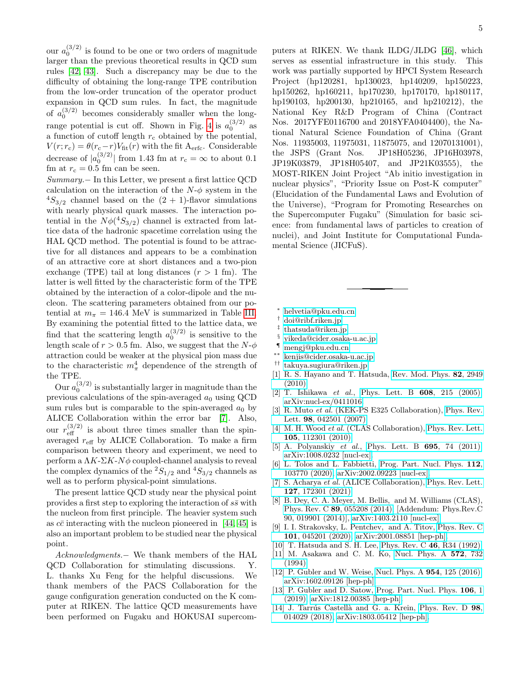our  $a_0^{(3/2)}$  is found to be one or two orders of magnitude larger than the previous theoretical results in QCD sum rules [\[42,](#page-5-25) [43\]](#page-5-26). Such a discrepancy may be due to the difficulty of obtaining the long-range TPE contribution from the low-order truncation of the operator product expansion in QCD sum rules. In fact, the magnitude of  $a_0^{(3/2)}$  becomes considerably smaller when the long-range potential is cut off. Shown in Fig. [4](#page-3-3) is  $a_0^{(3/2)}$  as a function of cutoff length  $r_c$  obtained by the potential,  $V(r; r_c) = \theta(r_c - r)V_{\text{fit}}(r)$  with the fit A<sub>erfc</sub>. Considerable decrease of  $|a_0^{(3/2)}|$  from 1.43 fm at  $r_c = \infty$  to about 0.1 fm at  $r_c = 0.5$  fm can be seen.

Summary.− In this Letter, we present a first lattice QCD calculation on the interaction of the  $N-\phi$  system in the  ${}^{4}S_{3/2}$  channel based on the  $(2 + 1)$ -flavor simulations with nearly physical quark masses. The interaction potential in the  $N\phi(^4S_{3/2})$  channel is extracted from lattice data of the hadronic spacetime correlation using the HAL QCD method. The potential is found to be attractive for all distances and appears to be a combination of an attractive core at short distances and a two-pion exchange (TPE) tail at long distances  $(r > 1$  fm). The latter is well fitted by the characteristic form of the TPE obtained by the interaction of a color-dipole and the nucleon. The scattering parameters obtained from our potential at  $m_{\pi} = 146.4$  MeV is summarized in Table [III.](#page-3-2) By examining the potential fitted to the lattice data, we find that the scattering length  $a_0^{(3/2)}$  is sensitive to the length scale of  $r > 0.5$  fm. Also, we suggest that the  $N-\phi$ attraction could be weaker at the physical pion mass due to the characteristic  $m_{\pi}^4$  dependence of the strength of the TPE.

Our  $a_0^{(3/2)}$  is substantially larger in magnitude than the previous calculations of the spin-averaged  $a_0$  using QCD sum rules but is comparable to the spin-averaged  $a_0$  by ALICE Collaboration within the error bar [\[7\]](#page-4-13). Also, our  $r_{\text{eff}}^{(3/2)}$  is about three times smaller than the spinaveraged  $r_{\text{eff}}$  by ALICE Collaboration. To make a firm comparison between theory and experiment, we need to perform a  $\Lambda K$ - $\Sigma K$ - $N\phi$  coupled-channel analysis to reveal the complex dynamics of the  ${}^2S_{1/2}$  and  ${}^4S_{3/2}$  channels as well as to perform physical-point simulations.

The present lattice QCD study near the physical point provides a first step to exploring the interaction of  $s\bar{s}$  with the nucleon from first principle. The heavier system such as  $c\bar{c}$  interacting with the nucleon pioneered in [\[44,](#page-5-27) [45\]](#page-5-28) is also an important problem to be studied near the physical point.

Acknowledgments.− We thank members of the HAL QCD Collaboration for stimulating discussions. Y. L. thanks Xu Feng for the helpful discussions. We thank members of the PACS Collaboration for the gauge configuration generation conducted on the K computer at RIKEN. The lattice QCD measurements have been performed on Fugaku and HOKUSAI supercom5

puters at RIKEN. We thank ILDG/JLDG [\[46\]](#page-5-29), which serves as essential infrastructure in this study. This work was partially supported by HPCI System Research Project (hp120281, hp130023, hp140209, hp150223, hp150262, hp160211, hp170230, hp170170, hp180117, hp190103, hp200130, hp210165, and hp210212), the National Key R&D Program of China (Contract Nos. 2017YFE0116700 and 2018YFA0404400), the National Natural Science Foundation of China (Grant Nos. 11935003, 11975031, 11875075, and 12070131001), the JSPS (Grant Nos. JP18H05236, JP16H03978, JP19K03879, JP18H05407, and JP21K03555), the MOST-RIKEN Joint Project "Ab initio investigation in nuclear physics", "Priority Issue on Post-K computer" (Elucidation of the Fundamental Laws and Evolution of the Universe), "Program for Promoting Researches on the Supercomputer Fugaku" (Simulation for basic science: from fundamental laws of particles to creation of nuclei), and Joint Institute for Computational Fundamental Science (JICFuS).

- <span id="page-4-0"></span><sup>∗</sup> [helvetia@pku.edu.cn](mailto:helvetia@pku.edu.cn)
- <span id="page-4-1"></span>† [doi@ribf.riken.jp](mailto:doi@ribf.riken.jp)
- <span id="page-4-2"></span>‡ [thatsuda@riken.jp](mailto:thatsuda@riken.jp)
- <span id="page-4-3"></span>§ [yikeda@cider.osaka-u.ac.jp](mailto:yikeda@cider.osaka-u.ac.jp)
- <span id="page-4-4"></span>¶ [mengj@pku.edu.cn](mailto:mengj@pku.edu.cn)
- <span id="page-4-5"></span>∗∗ [kenjis@cider.osaka-u.ac.jp](mailto:kenjis@cider.osaka-u.ac.jp)
- <span id="page-4-6"></span>†† [takuya.sugiura@riken.jp](mailto:takuya.sugiura@riken.jp)
- <span id="page-4-7"></span>[1] R. S. Hayano and T. Hatsuda, [Rev. Mod. Phys.](http://dx.doi.org/10.1103/RevModPhys.82.2949) 82, 2949 [\(2010\).](http://dx.doi.org/10.1103/RevModPhys.82.2949)
- <span id="page-4-8"></span>[2] T. Ishikawa et al., [Phys. Lett. B](http://dx.doi.org/10.1016/j.physletb.2005.01.023) 608, 215 (2005), [arXiv:nucl-ex/0411016.](http://arxiv.org/abs/nucl-ex/0411016)
- <span id="page-4-9"></span>[3] R. Muto et al. (KEK-PS E325 Collaboration), [Phys. Rev.](http://dx.doi.org/10.1103/PhysRevLett.98.042501) Lett. 98[, 042501 \(2007\).](http://dx.doi.org/10.1103/PhysRevLett.98.042501)
- <span id="page-4-10"></span>[4] M. H. Wood et al. (CLAS Collaboration), [Phys. Rev. Lett.](http://dx.doi.org/10.1103/PhysRevLett.105.112301) 105[, 112301 \(2010\).](http://dx.doi.org/10.1103/PhysRevLett.105.112301)
- <span id="page-4-11"></span>[5] A. Polyanskiy *et al.*, [Phys. Lett. B](http://dx.doi.org/ 10.1016/j.physletb.2010.10.050) **695**, 74 (2011), [arXiv:1008.0232 \[nucl-ex\].](http://arxiv.org/abs/1008.0232)
- <span id="page-4-12"></span>[6] L. Tolos and L. Fabbietti, [Prog. Part. Nucl. Phys.](http://dx.doi.org/10.1016/j.ppnp.2020.103770) 112, [103770 \(2020\),](http://dx.doi.org/10.1016/j.ppnp.2020.103770) [arXiv:2002.09223 \[nucl-ex\].](http://arxiv.org/abs/2002.09223)
- <span id="page-4-13"></span>[7] S. Acharya et al. (ALICE Collaboration), [Phys. Rev. Lett.](http://dx.doi.org/10.1103/PhysRevLett.127.172301) 127[, 172301 \(2021\).](http://dx.doi.org/10.1103/PhysRevLett.127.172301)
- <span id="page-4-14"></span>[8] B. Dey, C. A. Meyer, M. Bellis, and M. Williams (CLAS), Phys. Rev. C 89[, 055208 \(2014\),](http://dx.doi.org/10.1103/PhysRevC.89.055208) [Addendum: Phys.Rev.C 90, 019901 (2014)], [arXiv:1403.2110 \[nucl-ex\].](http://arxiv.org/abs/1403.2110)
- <span id="page-4-15"></span>[9] I. I. Strakovsky, L. Pentchev, and A. Titov, [Phys. Rev. C](http://dx.doi.org/10.1103/PhysRevC.101.045201) 101[, 045201 \(2020\),](http://dx.doi.org/10.1103/PhysRevC.101.045201) [arXiv:2001.08851 \[hep-ph\].](http://arxiv.org/abs/2001.08851)
- <span id="page-4-16"></span>[10] T. Hatsuda and S. H. Lee, [Phys. Rev. C](http://dx.doi.org/10.1103/PhysRevC.46.R34) 46, R34 (1992).
- [11] M. Asakawa and C. M. Ko, [Nucl. Phys. A](http://dx.doi.org/10.1016/0375-9474(94)90408-1) 572, 732 [\(1994\).](http://dx.doi.org/10.1016/0375-9474(94)90408-1)
- [12] P. Gubler and W. Weise, [Nucl. Phys. A](http://dx.doi.org/10.1016/j.nuclphysa.2016.04.018) **954**, 125 (2016), [arXiv:1602.09126 \[hep-ph\].](http://arxiv.org/abs/1602.09126)
- <span id="page-4-17"></span>[13] P. Gubler and D. Satow, [Prog. Part. Nucl. Phys.](http://dx.doi.org/10.1016/j.ppnp.2019.02.005) 106, 1 [\(2019\),](http://dx.doi.org/10.1016/j.ppnp.2019.02.005) [arXiv:1812.00385 \[hep-ph\].](http://arxiv.org/abs/1812.00385)
- <span id="page-4-18"></span>[14] J. Tarrús Castellà and G. a. Krein, [Phys. Rev. D](http://dx.doi.org/10.1103/PhysRevD.98.014029) 98, [014029 \(2018\),](http://dx.doi.org/10.1103/PhysRevD.98.014029) [arXiv:1803.05412 \[hep-ph\].](http://arxiv.org/abs/1803.05412)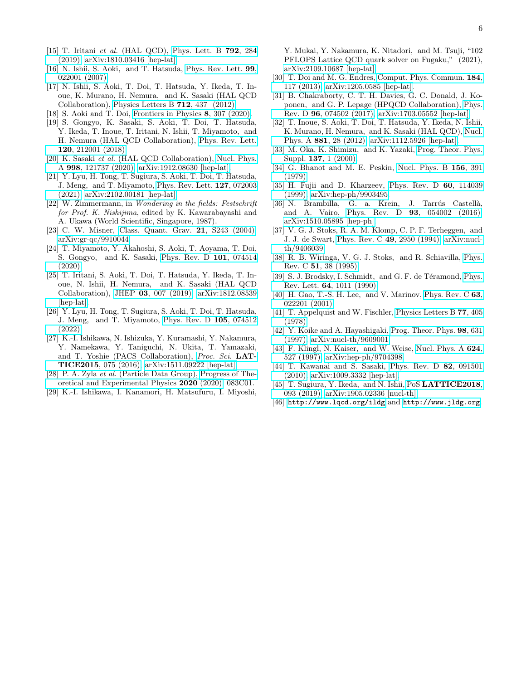- <span id="page-5-0"></span>[15] T. Iritani et al. (HAL QCD), [Phys. Lett. B](http://dx.doi.org/10.1016/j.physletb.2019.03.050) 792, 284 [\(2019\),](http://dx.doi.org/10.1016/j.physletb.2019.03.050) [arXiv:1810.03416 \[hep-lat\].](http://arxiv.org/abs/1810.03416)
- <span id="page-5-1"></span>[16] N. Ishii, S. Aoki, and T. Hatsuda, [Phys. Rev. Lett.](http://dx.doi.org/10.1103/PhysRevLett.99.022001) 99, [022001 \(2007\).](http://dx.doi.org/10.1103/PhysRevLett.99.022001)
- <span id="page-5-8"></span>[17] N. Ishii, S. Aoki, T. Doi, T. Hatsuda, Y. Ikeda, T. Inoue, K. Murano, H. Nemura, and K. Sasaki (HAL QCD Collaboration), [Physics Letters B](http://dx.doi.org/ https://doi.org/10.1016/j.physletb.2012.04.076) 712, 437 (2012).
- <span id="page-5-2"></span>[18] S. Aoki and T. Doi, [Frontiers in Physics](http://dx.doi.org/10.3389/fphy.2020.00307) 8, 307 (2020).
- <span id="page-5-3"></span>[19] S. Gongyo, K. Sasaki, S. Aoki, T. Doi, T. Hatsuda, Y. Ikeda, T. Inoue, T. Iritani, N. Ishii, T. Miyamoto, and H. Nemura (HAL QCD Collaboration), [Phys. Rev. Lett.](http://dx.doi.org/10.1103/PhysRevLett.120.212001) 120[, 212001 \(2018\).](http://dx.doi.org/10.1103/PhysRevLett.120.212001)
- [20] K. Sasaki et al. (HAL QCD Collaboration), [Nucl. Phys.](http://dx.doi.org/10.1016/j.nuclphysa.2020.121737) A 998[, 121737 \(2020\),](http://dx.doi.org/10.1016/j.nuclphysa.2020.121737) [arXiv:1912.08630 \[hep-lat\].](http://arxiv.org/abs/1912.08630)
- <span id="page-5-4"></span>[21] Y. Lyu, H. Tong, T. Sugiura, S. Aoki, T. Doi, T. Hatsuda, J. Meng, and T. Miyamoto, [Phys. Rev. Lett.](http://dx.doi.org/10.1103/PhysRevLett.127.072003) 127, 072003 [\(2021\),](http://dx.doi.org/10.1103/PhysRevLett.127.072003) [arXiv:2102.00181 \[hep-lat\].](http://arxiv.org/abs/2102.00181)
- <span id="page-5-5"></span>[22] W. Zimmermann, in Wondering in the fields: Festschrift for Prof. K. Nishijima, edited by K. Kawarabayashi and A. Ukawa (World Scientific, Singapore, 1987).
- <span id="page-5-6"></span>[23] C. W. Misner, [Class. Quant. Grav.](http://dx.doi.org/10.1088/0264-9381/21/3/014) 21, S243 (2004), [arXiv:gr-qc/9910044.](http://arxiv.org/abs/gr-qc/9910044)
- <span id="page-5-7"></span>[24] T. Miyamoto, Y. Akahoshi, S. Aoki, T. Aoyama, T. Doi, S. Gongyo, and K. Sasaki, [Phys. Rev. D](http://dx.doi.org/10.1103/PhysRevD.101.074514) 101, 074514 [\(2020\).](http://dx.doi.org/10.1103/PhysRevD.101.074514)
- <span id="page-5-9"></span>[25] T. Iritani, S. Aoki, T. Doi, T. Hatsuda, Y. Ikeda, T. Inoue, N. Ishii, H. Nemura, and K. Sasaki (HAL QCD Collaboration), JHEP 03[, 007 \(2019\),](http://dx.doi.org/10.1007/JHEP03(2019)007) [arXiv:1812.08539](http://arxiv.org/abs/1812.08539) [\[hep-lat\].](http://arxiv.org/abs/1812.08539)
- <span id="page-5-10"></span>[26] Y. Lyu, H. Tong, T. Sugiura, S. Aoki, T. Doi, T. Hatsuda, J. Meng, and T. Miyamoto, [Phys. Rev. D](http://dx.doi.org/10.1103/PhysRevD.105.074512) 105, 074512 [\(2022\).](http://dx.doi.org/10.1103/PhysRevD.105.074512)
- <span id="page-5-11"></span>[27] K.-I. Ishikawa, N. Ishizuka, Y. Kuramashi, Y. Nakamura, Y. Namekawa, Y. Taniguchi, N. Ukita, T. Yamazaki, and T. Yoshie (PACS Collaboration), [Proc. Sci.](http://dx.doi.org/10.22323/1.251.0075) LAT-TICE2015[, 075 \(2016\),](http://dx.doi.org/10.22323/1.251.0075) [arXiv:1511.09222 \[hep-lat\].](http://arxiv.org/abs/1511.09222)
- <span id="page-5-12"></span>[28] P. A. Zyla et al. (Particle Data Group), [Progress of The](https://doi.org/10.1093/ptep/ptaa104)[oretical and Experimental Physics](https://doi.org/10.1093/ptep/ptaa104) 2020 (2020), 083C01.
- <span id="page-5-13"></span>[29] K.-I. Ishikawa, I. Kanamori, H. Matsufuru, I. Miyoshi,

Y. Mukai, Y. Nakamura, K. Nitadori, and M. Tsuji, "102 PFLOPS Lattice QCD quark solver on Fugaku," (2021), [arXiv:2109.10687 \[hep-lat\].](http://arxiv.org/abs/2109.10687)

- <span id="page-5-14"></span>[30] T. Doi and M. G. Endres, [Comput. Phys. Commun.](http://dx.doi.org/10.1016/j.cpc.2012.09.004) 184, [117 \(2013\),](http://dx.doi.org/10.1016/j.cpc.2012.09.004) [arXiv:1205.0585 \[hep-lat\].](http://arxiv.org/abs/1205.0585)
- <span id="page-5-15"></span>[31] B. Chakraborty, C. T. H. Davies, G. C. Donald, J. Koponen, and G. P. Lepage (HPQCD Collaboration), [Phys.](http://dx.doi.org/ 10.1103/PhysRevD.96.074502) Rev. D 96[, 074502 \(2017\),](http://dx.doi.org/ 10.1103/PhysRevD.96.074502) [arXiv:1703.05552 \[hep-lat\].](http://arxiv.org/abs/1703.05552)
- <span id="page-5-16"></span>[32] T. Inoue, S. Aoki, T. Doi, T. Hatsuda, Y. Ikeda, N. Ishii, K. Murano, H. Nemura, and K. Sasaki (HAL QCD), [Nucl.](http://dx.doi.org/10.1016/j.nuclphysa.2012.02.008) Phys. A 881[, 28 \(2012\),](http://dx.doi.org/10.1016/j.nuclphysa.2012.02.008) [arXiv:1112.5926 \[hep-lat\].](http://arxiv.org/abs/1112.5926)
- <span id="page-5-17"></span>[33] M. Oka, K. Shimizu, and K. Yazaki, [Prog. Theor. Phys.](http://dx.doi.org/10.1143/PTPS.137.1) Suppl. 137[, 1 \(2000\).](http://dx.doi.org/10.1143/PTPS.137.1)
- <span id="page-5-18"></span>[34] G. Bhanot and M. E. Peskin, [Nucl. Phys. B](http://dx.doi.org/10.1016/0550-3213(79)90200-1) 156, 391 [\(1979\).](http://dx.doi.org/10.1016/0550-3213(79)90200-1)
- [35] H. Fujii and D. Kharzeev, [Phys. Rev. D](http://dx.doi.org/10.1103/PhysRevD.60.114039) 60, 114039 [\(1999\),](http://dx.doi.org/10.1103/PhysRevD.60.114039) [arXiv:hep-ph/9903495.](http://arxiv.org/abs/hep-ph/9903495)
- <span id="page-5-19"></span>[36] N. Brambilla, G. a. Krein, J. Tarrús Castellà, and A. Vairo, Phys. Rev. D 93[, 054002 \(2016\),](http://dx.doi.org/10.1103/PhysRevD.93.054002) [arXiv:1510.05895 \[hep-ph\].](http://arxiv.org/abs/1510.05895)
- <span id="page-5-20"></span>[37] V. G. J. Stoks, R. A. M. Klomp, C. P. F. Terheggen, and J. J. de Swart, [Phys. Rev. C](http://dx.doi.org/10.1103/PhysRevC.49.2950) 49, 2950 (1994), [arXiv:nucl](http://arxiv.org/abs/nucl-th/9406039)[th/9406039.](http://arxiv.org/abs/nucl-th/9406039)
- <span id="page-5-21"></span>[38] R. B. Wiringa, V. G. J. Stoks, and R. Schiavilla, [Phys.](http://dx.doi.org/10.1103/PhysRevC.51.38) Rev. C 51[, 38 \(1995\).](http://dx.doi.org/10.1103/PhysRevC.51.38)
- <span id="page-5-22"></span>[39] S. J. Brodsky, I. Schmidt, and G. F. de Téramond, [Phys.](http://dx.doi.org/10.1103/PhysRevLett.64.1011) Rev. Lett. 64[, 1011 \(1990\).](http://dx.doi.org/10.1103/PhysRevLett.64.1011)
- <span id="page-5-23"></span>[40] H. Gao, T.-S. H. Lee, and V. Marinov, [Phys. Rev. C](http://dx.doi.org/10.1103/PhysRevC.63.022201) 63, [022201 \(2001\).](http://dx.doi.org/10.1103/PhysRevC.63.022201)
- <span id="page-5-24"></span>[41] T. Appelquist and W. Fischler, [Physics Letters B](http://dx.doi.org/https://doi.org/10.1016/0370-2693(78)90587-7) 77, 405 [\(1978\).](http://dx.doi.org/https://doi.org/10.1016/0370-2693(78)90587-7)
- <span id="page-5-25"></span>[42] Y. Koike and A. Hayashigaki, [Prog. Theor. Phys.](http://dx.doi.org/10.1143/PTP.98.631) 98, 631 [\(1997\),](http://dx.doi.org/10.1143/PTP.98.631) [arXiv:nucl-th/9609001.](http://arxiv.org/abs/nucl-th/9609001)
- <span id="page-5-26"></span>[43] F. Klingl, N. Kaiser, and W. Weise, [Nucl. Phys. A](http://dx.doi.org/10.1016/S0375-9474(97)88960-9)  $624$ , [527 \(1997\),](http://dx.doi.org/10.1016/S0375-9474(97)88960-9) [arXiv:hep-ph/9704398.](http://arxiv.org/abs/hep-ph/9704398)
- <span id="page-5-27"></span>[44] T. Kawanai and S. Sasaki, [Phys. Rev. D](http://dx.doi.org/10.1103/PhysRevD.82.091501) 82, 091501 [\(2010\),](http://dx.doi.org/10.1103/PhysRevD.82.091501) [arXiv:1009.3332 \[hep-lat\].](http://arxiv.org/abs/1009.3332)
- <span id="page-5-28"></span>[45] T. Sugiura, Y. Ikeda, and N. Ishii, PoS **[LATTICE2018](http://dx.doi.org/10.22323/1.334.0093)**, [093 \(2019\),](http://dx.doi.org/10.22323/1.334.0093) [arXiv:1905.02336 \[nucl-th\].](http://arxiv.org/abs/1905.02336)
- <span id="page-5-29"></span>[46] <http://www.lqcd.org/ildg> and <http://www.jldg.org>.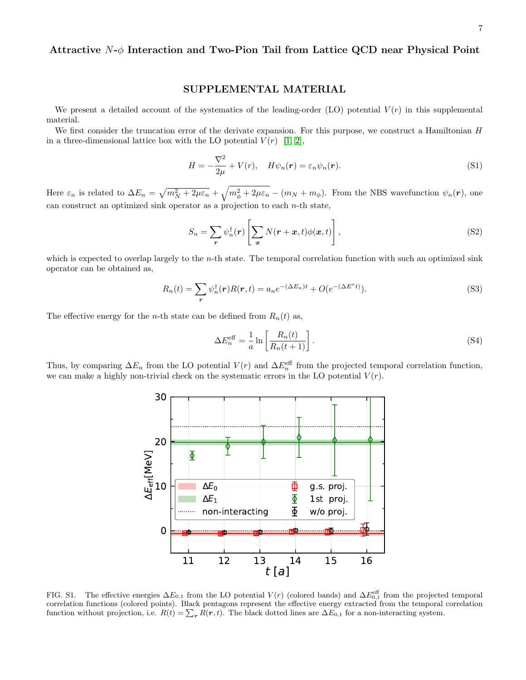## Attractive  $N-\phi$  Interaction and Two-Pion Tail from Lattice QCD near Physical Point

## SUPPLEMENTAL MATERIAL

We present a detailed account of the systematics of the leading-order (LO) potential  $V(r)$  in this supplemental material.

We first consider the truncation error of the derivate expansion. For this purpose, we construct a Hamiltonian H in a three-dimensional lattice box with the LO potential  $V(r)$  [\[1,](#page-7-0) [2\]](#page-7-1),

$$
H = -\frac{\nabla^2}{2\mu} + V(r), \quad H\psi_n(\mathbf{r}) = \varepsilon_n \psi_n(\mathbf{r}).
$$
\n(S1)

Here  $\varepsilon_n$  is related to  $\Delta E_n = \sqrt{m_N^2 + 2\mu\varepsilon_n} + \sqrt{m_\phi^2 + 2\mu\varepsilon_n} - (m_N + m_\phi)$ . From the NBS wavefunction  $\psi_n(\mathbf{r})$ , one can construct an optimized sink operator as a projection to each  $n$ -th state,

$$
S_n = \sum_{\mathbf{r}} \psi_n^{\dagger}(\mathbf{r}) \left[ \sum_{\mathbf{x}} N(\mathbf{r} + \mathbf{x}, t) \phi(\mathbf{x}, t) \right], \tag{S2}
$$

which is expected to overlap largely to the  $n$ -th state. The temporal correlation function with such an optimized sink operator can be obtained as,

$$
R_n(t) = \sum_{\mathbf{r}} \psi_n^{\dagger}(\mathbf{r}) R(\mathbf{r}, t) = a_n e^{-(\Delta E_n)t} + O(e^{-(\Delta E^*t)}).
$$
\n(S3)

The effective energy for the *n*-th state can be defined from  $R_n(t)$  as,

$$
\Delta E_n^{\text{eff}} = \frac{1}{a} \ln \left[ \frac{R_n(t)}{R_n(t+1)} \right]. \tag{S4}
$$

Thus, by comparing  $\Delta E_n$  from the LO potential  $V(r)$  and  $\Delta E_n^{\text{eff}}$  from the projected temporal correlation function, we can make a highly non-trivial check on the systematic errors in the LO potential  $V(r)$ .



FIG. S1. The effective energies  $\Delta E_{0,1}$  from the LO potential  $V(r)$  (colored bands) and  $\Delta E_{0,1}^{\text{eff}}$  from the projected temporal correlation functions (colored points). Black pentagons represent the effective energy extracted from the temporal correlation function without projection, i.e.  $R(t) = \sum_{r} R(r, t)$ . The black dotted lines are  $\Delta E_{0,1}$  for a non-interacting system.